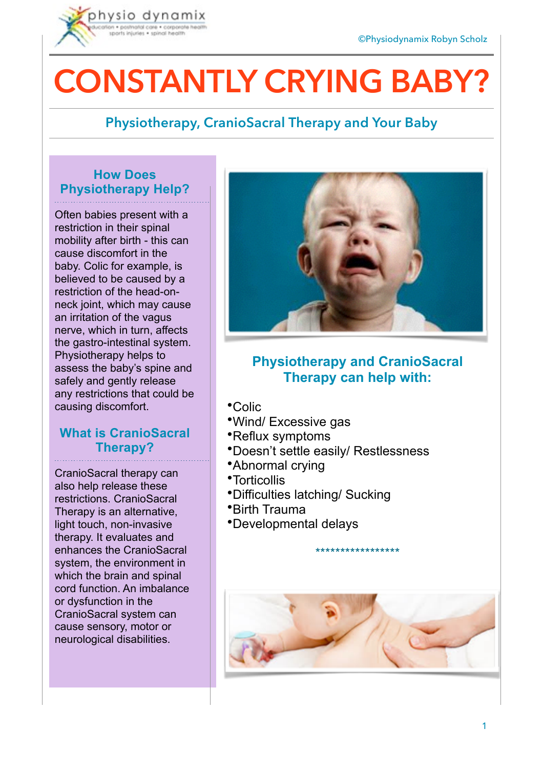

# **CONSTANTLY CRYING BABY?**

## **Physiotherapy, CranioSacral Therapy and Your Baby**

#### **How Does Physiotherapy Help?**

Often babies present with a restriction in their spinal mobility after birth - this can cause discomfort in the baby. Colic for example, is believed to be caused by a restriction of the head-onneck joint, which may cause an irritation of the vagus nerve, which in turn, affects the gastro-intestinal system. Physiotherapy helps to assess the baby's spine and safely and gently release any restrictions that could be causing discomfort.

#### **What is CranioSacral Therapy?**

CranioSacral therapy can also help release these restrictions. CranioSacral Therapy is an alternative, light touch, non-invasive therapy. It evaluates and enhances the CranioSacral system, the environment in which the brain and spinal cord function. An imbalance or dysfunction in the CranioSacral system can cause sensory, motor or neurological disabilities.



### **Physiotherapy and CranioSacral Therapy can help with:**

- •Colic
- •Wind/ Excessive gas
- •Reflux symptoms
- •Doesn't settle easily/ Restlessness
- •Abnormal crying
- •Torticollis
- •Difficulties latching/ Sucking
- •Birth Trauma
- •Developmental delays



\*\*\*\*\*\*\*\*\*\*\*\*\*\*\*\*\*